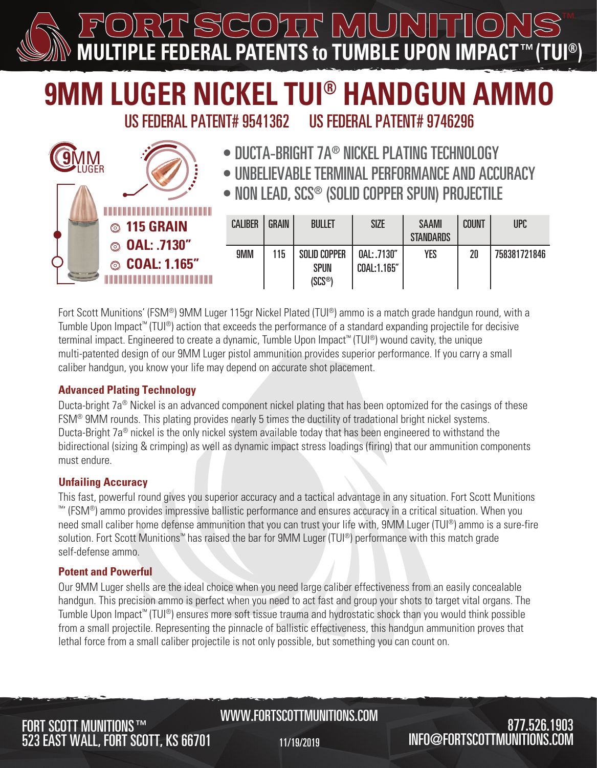$\prime\prime$   $\Box$  $\frac{1}{2}$  MUU **MULTIPLE FEDERAL PATENTS to TUMBLE UPON IMPACT™** 

# **9MM LUGER NICKEL TUI® HANDGUN AMMO**

US FEDERAL PATENT# 9541362 US FEDERAL PATENT# 9746296

- DUCTA-BRIGHT 7A® NICKEL PLATING TECHNOLOGY
- UNBELIEVABLE TERMINAL PERFORMANCE AND ACCURACY
- NON LEAD, SCS® (SOLID COPPER SPUN) PROJECTILE

|                          | __________________________________<br>$\circledcirc$ 115 GRAIN | <b>CALIBER</b> | <b>GRAIN</b> | <b>BULLET</b>                                             | <b>SIZE</b>                | <b>SAAMI</b><br><b>STANDARDS</b> | <b>COUNT</b> | <b>UPC</b>   |
|--------------------------|----------------------------------------------------------------|----------------|--------------|-----------------------------------------------------------|----------------------------|----------------------------------|--------------|--------------|
| <b>Contract Contract</b> | © OAL: .7130"<br>© COAL: 1.165"                                | 9MM            | 115          | <b>SOLID COPPER</b><br><b>SPUN</b><br>(SCS <sup>®</sup> ) | 0AL: .7130"<br>COAL:1.165" | <b>YES</b>                       | 20           | 758381721846 |

Fort Scott Munitions' (FSM®) 9MM Luger 115gr Nickel Plated (TUI®) ammo is a match grade handgun round, with a Tumble Upon Impact™ (TUI®) action that exceeds the performance of a standard expanding projectile for decisive terminal impact. Engineered to create a dynamic, Tumble Upon Impact™ (TUI®) wound cavity, the unique multi-patented design of our 9MM Luger pistol ammunition provides superior performance. If you carry a small caliber handgun, you know your life may depend on accurate shot placement.

#### **Advanced Plating Technology**

Ducta-bright 7a<sup>®</sup> Nickel is an advanced component nickel plating that has been optomized for the casings of these FSM® 9MM rounds. This plating provides nearly 5 times the ductility of tradational bright nickel systems. Ducta-Bright 7a<sup>®</sup> nickel is the only nickel system available today that has been engineered to withstand the bidirectional (sizing & crimping) as well as dynamic impact stress loadings (firing) that our ammunition components must endure.

#### **Unfailing Accuracy**

**9**MM

LUGER

This fast, powerful round gives you superior accuracy and a tactical advantage in any situation. Fort Scott Munitions ™' (FSM®) ammo provides impressive ballistic performance and ensures accuracy in a critical situation. When you need small caliber home defense ammunition that you can trust your life with, 9MM Luger (TUI®) ammo is a sure-fire solution. Fort Scott Munitions<sup>™</sup> has raised the bar for 9MM Luger (TUI<sup>®</sup>) performance with this match grade self-defense ammo.

### **Potent and Powerful**

Our 9MM Luger shells are the ideal choice when you need large caliber effectiveness from an easily concealable handgun. This precision ammo is perfect when you need to act fast and group your shots to target vital organs. The Tumble Upon Impact™ (TUI®) ensures more soft tissue trauma and hydrostatic shock than you would think possible from a small projectile. Representing the pinnacle of ballistic effectiveness, this handgun ammunition proves that lethal force from a small caliber projectile is not only possible, but something you can count on.

## 523 EAST WALL, FORT SCOTT, KS 66701 **FORT SCOTT MUNITIONS™**

## WWW.FORTSCOTTMUNITIONS.COM

11/19/2019

## 877.526.1903  $INFO@FORTSCOTTMUNITIONS$